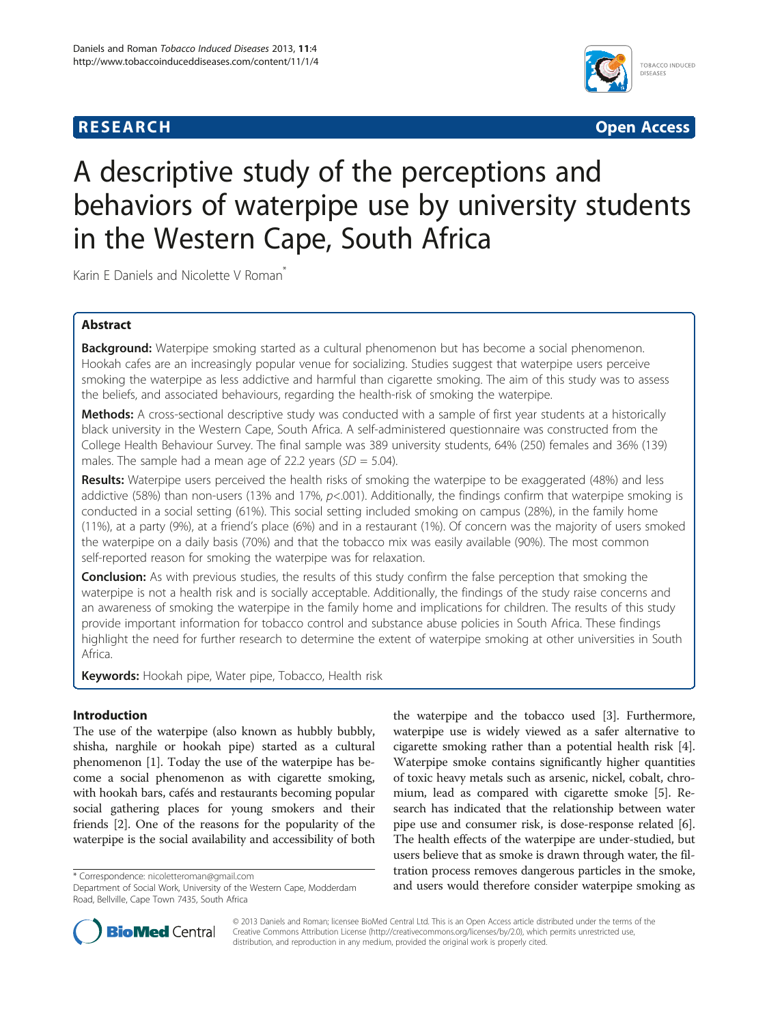# **RESEARCH RESEARCH** *CHECKER CHECKER CHECKER CHECKER CHECKER CHECKER CHECKER CHECKER CHECKER CHECKER CHECKER*



# A descriptive study of the perceptions and behaviors of waterpipe use by university students in the Western Cape, South Africa

Karin E Daniels and Nicolette V Roman<sup>\*</sup>

# Abstract

Background: Waterpipe smoking started as a cultural phenomenon but has become a social phenomenon. Hookah cafes are an increasingly popular venue for socializing. Studies suggest that waterpipe users perceive smoking the waterpipe as less addictive and harmful than cigarette smoking. The aim of this study was to assess the beliefs, and associated behaviours, regarding the health-risk of smoking the waterpipe.

Methods: A cross-sectional descriptive study was conducted with a sample of first year students at a historically black university in the Western Cape, South Africa. A self-administered questionnaire was constructed from the College Health Behaviour Survey. The final sample was 389 university students, 64% (250) females and 36% (139) males. The sample had a mean age of 22.2 years  $(SD = 5.04)$ .

Results: Waterpipe users perceived the health risks of smoking the waterpipe to be exaggerated (48%) and less addictive (58%) than non-users (13% and 17%,  $p<.001$ ). Additionally, the findings confirm that waterpipe smoking is conducted in a social setting (61%). This social setting included smoking on campus (28%), in the family home (11%), at a party (9%), at a friend's place (6%) and in a restaurant (1%). Of concern was the majority of users smoked the waterpipe on a daily basis (70%) and that the tobacco mix was easily available (90%). The most common self-reported reason for smoking the waterpipe was for relaxation.

**Conclusion:** As with previous studies, the results of this study confirm the false perception that smoking the waterpipe is not a health risk and is socially acceptable. Additionally, the findings of the study raise concerns and an awareness of smoking the waterpipe in the family home and implications for children. The results of this study provide important information for tobacco control and substance abuse policies in South Africa. These findings highlight the need for further research to determine the extent of waterpipe smoking at other universities in South Africa.

Keywords: Hookah pipe, Water pipe, Tobacco, Health risk

# Introduction

The use of the waterpipe (also known as hubbly bubbly, shisha, narghile or hookah pipe) started as a cultural phenomenon [\[1](#page-4-0)]. Today the use of the waterpipe has become a social phenomenon as with cigarette smoking, with hookah bars, cafés and restaurants becoming popular social gathering places for young smokers and their friends [\[2](#page-4-0)]. One of the reasons for the popularity of the waterpipe is the social availability and accessibility of both

the waterpipe and the tobacco used [[3\]](#page-4-0). Furthermore, waterpipe use is widely viewed as a safer alternative to cigarette smoking rather than a potential health risk [[4](#page-4-0)]. Waterpipe smoke contains significantly higher quantities of toxic heavy metals such as arsenic, nickel, cobalt, chromium, lead as compared with cigarette smoke [[5\]](#page-4-0). Research has indicated that the relationship between water pipe use and consumer risk, is dose-response related [[6](#page-4-0)]. The health effects of the waterpipe are under-studied, but users believe that as smoke is drawn through water, the filtration process removes dangerous particles in the smoke, and tradium process removes dangerous particles in the smoke,<br>Department of Social Work, University of the Western Cape, Modderdam and users would therefore consider waterpipe smoking as



© 2013 Daniels and Roman; licensee BioMed Central Ltd. This is an Open Access article distributed under the terms of the Creative Commons Attribution License (<http://creativecommons.org/licenses/by/2.0>), which permits unrestricted use, distribution, and reproduction in any medium, provided the original work is properly cited.

Department of Social Work, University of the Western Cape, Modderdam Road, Bellville, Cape Town 7435, South Africa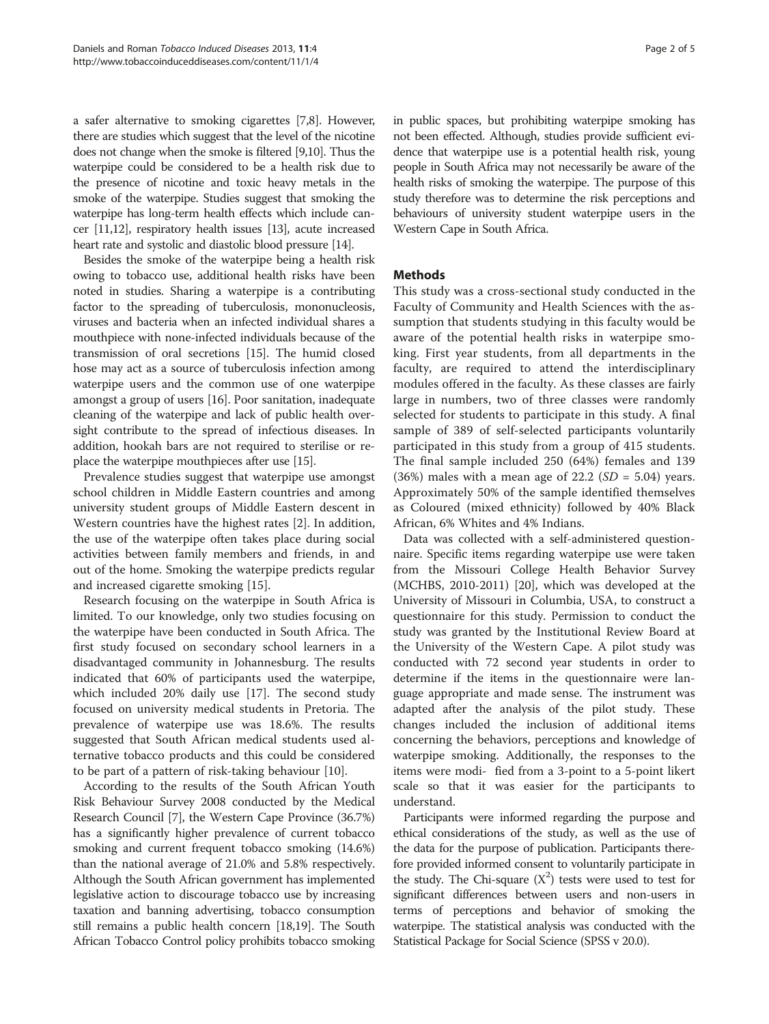a safer alternative to smoking cigarettes [\[7,8](#page-4-0)]. However, there are studies which suggest that the level of the nicotine does not change when the smoke is filtered [[9,10\]](#page-4-0). Thus the waterpipe could be considered to be a health risk due to the presence of nicotine and toxic heavy metals in the smoke of the waterpipe. Studies suggest that smoking the waterpipe has long-term health effects which include cancer [\[11,12\]](#page-4-0), respiratory health issues [\[13\]](#page-4-0), acute increased heart rate and systolic and diastolic blood pressure [\[14](#page-4-0)].

Besides the smoke of the waterpipe being a health risk owing to tobacco use, additional health risks have been noted in studies. Sharing a waterpipe is a contributing factor to the spreading of tuberculosis, mononucleosis, viruses and bacteria when an infected individual shares a mouthpiece with none-infected individuals because of the transmission of oral secretions [[15](#page-4-0)]. The humid closed hose may act as a source of tuberculosis infection among waterpipe users and the common use of one waterpipe amongst a group of users [[16](#page-4-0)]. Poor sanitation, inadequate cleaning of the waterpipe and lack of public health oversight contribute to the spread of infectious diseases. In addition, hookah bars are not required to sterilise or replace the waterpipe mouthpieces after use [\[15\]](#page-4-0).

Prevalence studies suggest that waterpipe use amongst school children in Middle Eastern countries and among university student groups of Middle Eastern descent in Western countries have the highest rates [[2\]](#page-4-0). In addition, the use of the waterpipe often takes place during social activities between family members and friends, in and out of the home. Smoking the waterpipe predicts regular and increased cigarette smoking [[15](#page-4-0)].

Research focusing on the waterpipe in South Africa is limited. To our knowledge, only two studies focusing on the waterpipe have been conducted in South Africa. The first study focused on secondary school learners in a disadvantaged community in Johannesburg. The results indicated that 60% of participants used the waterpipe, which included 20% daily use [[17\]](#page-4-0). The second study focused on university medical students in Pretoria. The prevalence of waterpipe use was 18.6%. The results suggested that South African medical students used alternative tobacco products and this could be considered to be part of a pattern of risk-taking behaviour [\[10\]](#page-4-0).

According to the results of the South African Youth Risk Behaviour Survey 2008 conducted by the Medical Research Council [\[7](#page-4-0)], the Western Cape Province (36.7%) has a significantly higher prevalence of current tobacco smoking and current frequent tobacco smoking (14.6%) than the national average of 21.0% and 5.8% respectively. Although the South African government has implemented legislative action to discourage tobacco use by increasing taxation and banning advertising, tobacco consumption still remains a public health concern [[18](#page-4-0),[19](#page-4-0)]. The South African Tobacco Control policy prohibits tobacco smoking

in public spaces, but prohibiting waterpipe smoking has not been effected. Although, studies provide sufficient evidence that waterpipe use is a potential health risk, young people in South Africa may not necessarily be aware of the health risks of smoking the waterpipe. The purpose of this study therefore was to determine the risk perceptions and behaviours of university student waterpipe users in the Western Cape in South Africa.

# Methods

This study was a cross-sectional study conducted in the Faculty of Community and Health Sciences with the assumption that students studying in this faculty would be aware of the potential health risks in waterpipe smoking. First year students, from all departments in the faculty, are required to attend the interdisciplinary modules offered in the faculty. As these classes are fairly large in numbers, two of three classes were randomly selected for students to participate in this study. A final sample of 389 of self-selected participants voluntarily participated in this study from a group of 415 students. The final sample included 250 (64%) females and 139 (36%) males with a mean age of 22.2 ( $SD = 5.04$ ) years. Approximately 50% of the sample identified themselves as Coloured (mixed ethnicity) followed by 40% Black African, 6% Whites and 4% Indians.

Data was collected with a self-administered questionnaire. Specific items regarding waterpipe use were taken from the Missouri College Health Behavior Survey (MCHBS, 2010-2011) [[20\]](#page-4-0), which was developed at the University of Missouri in Columbia, USA, to construct a questionnaire for this study. Permission to conduct the study was granted by the Institutional Review Board at the University of the Western Cape. A pilot study was conducted with 72 second year students in order to determine if the items in the questionnaire were language appropriate and made sense. The instrument was adapted after the analysis of the pilot study. These changes included the inclusion of additional items concerning the behaviors, perceptions and knowledge of waterpipe smoking. Additionally, the responses to the items were modi- fied from a 3-point to a 5-point likert scale so that it was easier for the participants to understand.

Participants were informed regarding the purpose and ethical considerations of the study, as well as the use of the data for the purpose of publication. Participants therefore provided informed consent to voluntarily participate in the study. The Chi-square  $(X^2)$  tests were used to test for significant differences between users and non-users in terms of perceptions and behavior of smoking the waterpipe. The statistical analysis was conducted with the Statistical Package for Social Science (SPSS v 20.0).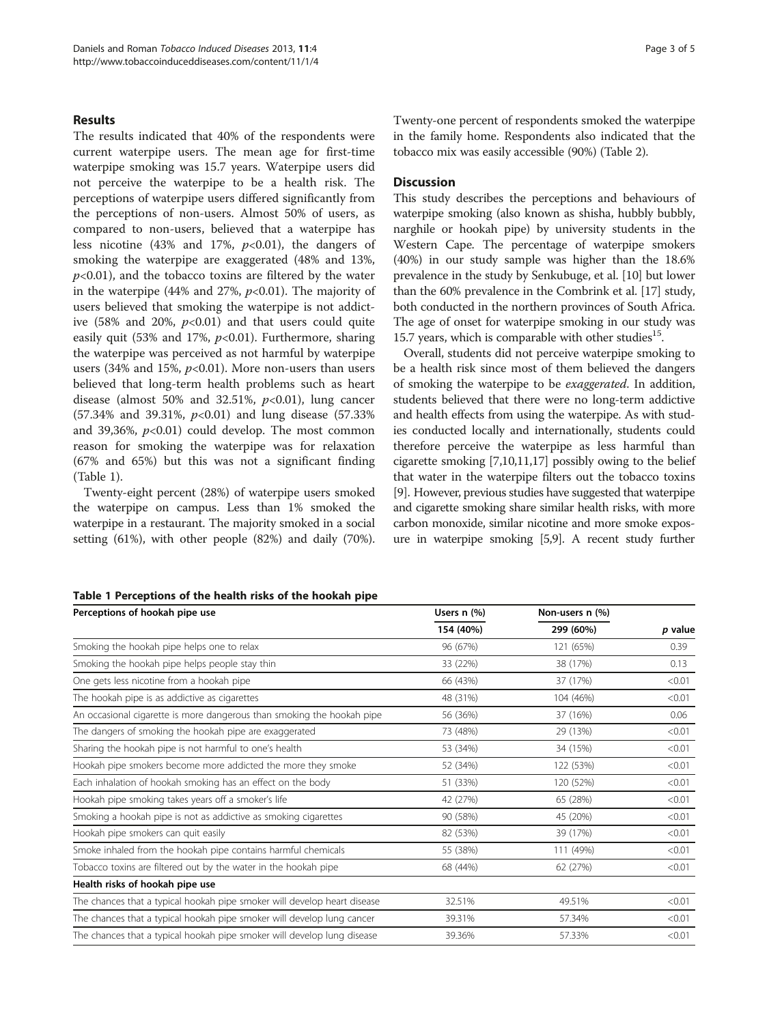## Results

The results indicated that 40% of the respondents were current waterpipe users. The mean age for first-time waterpipe smoking was 15.7 years. Waterpipe users did not perceive the waterpipe to be a health risk. The perceptions of waterpipe users differed significantly from the perceptions of non-users. Almost 50% of users, as compared to non-users, believed that a waterpipe has less nicotine (43% and 17%,  $p<0.01$ ), the dangers of smoking the waterpipe are exaggerated (48% and 13%,  $p<0.01$ ), and the tobacco toxins are filtered by the water in the waterpipe (44% and 27%,  $p<0.01$ ). The majority of users believed that smoking the waterpipe is not addictive (58% and 20%,  $p<0.01$ ) and that users could quite easily quit (53% and 17%,  $p<0.01$ ). Furthermore, sharing the waterpipe was perceived as not harmful by waterpipe users (34% and 15%,  $p<0.01$ ). More non-users than users believed that long-term health problems such as heart disease (almost 50% and 32.51%,  $p<0.01$ ), lung cancer  $(57.34\%$  and 39.31%,  $p<0.01$ ) and lung disease (57.33%) and 39,36%,  $p<0.01$ ) could develop. The most common reason for smoking the waterpipe was for relaxation (67% and 65%) but this was not a significant finding (Table 1).

Twenty-eight percent (28%) of waterpipe users smoked the waterpipe on campus. Less than 1% smoked the waterpipe in a restaurant. The majority smoked in a social setting (61%), with other people (82%) and daily (70%). Twenty-one percent of respondents smoked the waterpipe in the family home. Respondents also indicated that the tobacco mix was easily accessible (90%) (Table [2](#page-3-0)).

## **Discussion**

This study describes the perceptions and behaviours of waterpipe smoking (also known as shisha, hubbly bubbly, narghile or hookah pipe) by university students in the Western Cape. The percentage of waterpipe smokers (40%) in our study sample was higher than the 18.6% prevalence in the study by Senkubuge, et al. [\[10\]](#page-4-0) but lower than the 60% prevalence in the Combrink et al. [[17](#page-4-0)] study, both conducted in the northern provinces of South Africa. The age of onset for waterpipe smoking in our study was 15.7 years, which is comparable with other studies<sup>15</sup>.

Overall, students did not perceive waterpipe smoking to be a health risk since most of them believed the dangers of smoking the waterpipe to be exaggerated. In addition, students believed that there were no long-term addictive and health effects from using the waterpipe. As with studies conducted locally and internationally, students could therefore perceive the waterpipe as less harmful than cigarette smoking [\[7,10,11,17\]](#page-4-0) possibly owing to the belief that water in the waterpipe filters out the tobacco toxins [[9\]](#page-4-0). However, previous studies have suggested that waterpipe and cigarette smoking share similar health risks, with more carbon monoxide, similar nicotine and more smoke exposure in waterpipe smoking [\[5,9\]](#page-4-0). A recent study further

| Perceptions of hookah pipe use                                           | Users $n$ (%) | Non-users n (%) |         |
|--------------------------------------------------------------------------|---------------|-----------------|---------|
|                                                                          | 154 (40%)     | 299 (60%)       | p value |
| Smoking the hookah pipe helps one to relax                               | 96 (67%)      | 121 (65%)       | 0.39    |
| Smoking the hookah pipe helps people stay thin                           | 33 (22%)      | 38 (17%)        | 0.13    |
| One gets less nicotine from a hookah pipe                                | 66 (43%)      | 37 (17%)        | < 0.01  |
| The hookah pipe is as addictive as cigarettes                            | 48 (31%)      | 104 (46%)       | < 0.01  |
| An occasional cigarette is more dangerous than smoking the hookah pipe   | 56 (36%)      | 37 (16%)        | 0.06    |
| The dangers of smoking the hookah pipe are exaggerated                   | 73 (48%)      | 29 (13%)        | < 0.01  |
| Sharing the hookah pipe is not harmful to one's health                   | 53 (34%)      | 34 (15%)        | < 0.01  |
| Hookah pipe smokers become more addicted the more they smoke             | 52 (34%)      | 122 (53%)       | < 0.01  |
| Each inhalation of hookah smoking has an effect on the body              | 51 (33%)      | 120 (52%)       | < 0.01  |
| Hookah pipe smoking takes years off a smoker's life                      | 42 (27%)      | 65 (28%)        | < 0.01  |
| Smoking a hookah pipe is not as addictive as smoking cigarettes          | 90 (58%)      | 45 (20%)        | < 0.01  |
| Hookah pipe smokers can quit easily                                      | 82 (53%)      | 39 (17%)        | < 0.01  |
| Smoke inhaled from the hookah pipe contains harmful chemicals            | 55 (38%)      | 111 (49%)       | < 0.01  |
| Tobacco toxins are filtered out by the water in the hookah pipe          | 68 (44%)      | 62 (27%)        | < 0.01  |
| Health risks of hookah pipe use                                          |               |                 |         |
| The chances that a typical hookah pipe smoker will develop heart disease | 32.51%        | 49.51%          | < 0.01  |
| The chances that a typical hookah pipe smoker will develop lung cancer   | 39.31%        | 57.34%          | < 0.01  |
| The chances that a typical hookah pipe smoker will develop lung disease  | 39.36%        | 57.33%          | < 0.01  |

#### Table 1 Perceptions of the health risks of the hookah pipe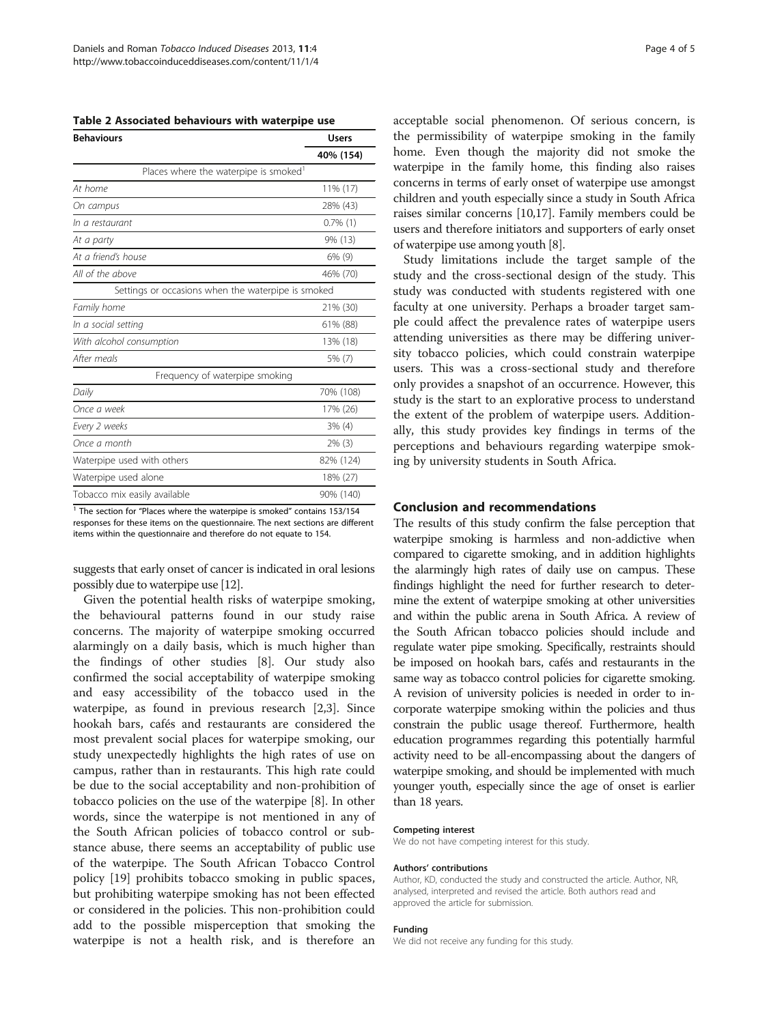<span id="page-3-0"></span>

| Table 2 Associated behaviours with waterpipe use |  |  |  |  |  |  |  |
|--------------------------------------------------|--|--|--|--|--|--|--|
|--------------------------------------------------|--|--|--|--|--|--|--|

| <b>Behaviours</b>                                  | <b>Users</b> |  |
|----------------------------------------------------|--------------|--|
|                                                    | 40% (154)    |  |
| Places where the waterpipe is smoked <sup>1</sup>  |              |  |
| At home                                            | 11% (17)     |  |
| On campus                                          | 28% (43)     |  |
| In a restaurant                                    | $0.7\%$ (1)  |  |
| At a party                                         | 9% (13)      |  |
| At a friend's house                                | 6% (9)       |  |
| All of the above                                   | 46% (70)     |  |
| Settings or occasions when the waterpipe is smoked |              |  |
| Family home                                        | 21% (30)     |  |
| In a social setting                                | 61% (88)     |  |
| With alcohol consumption                           | 13% (18)     |  |
| After meals                                        | 5% (7)       |  |
| Frequency of waterpipe smoking                     |              |  |
| Daily                                              | 70% (108)    |  |
| Once a week                                        | 17% (26)     |  |
| Every 2 weeks                                      | $3\%$ (4)    |  |
| Once a month                                       | $2\%$ (3)    |  |
| Waterpipe used with others                         | 82% (124)    |  |
| Waterpipe used alone                               | 18% (27)     |  |
| Tobacco mix easily available                       | 90% (140)    |  |

<sup>1</sup> The section for "Places where the waterpipe is smoked" contains 153/154 responses for these items on the questionnaire. The next sections are different items within the questionnaire and therefore do not equate to 154.

suggests that early onset of cancer is indicated in oral lesions possibly due to waterpipe use [\[12](#page-4-0)].

Given the potential health risks of waterpipe smoking, the behavioural patterns found in our study raise concerns. The majority of waterpipe smoking occurred alarmingly on a daily basis, which is much higher than the findings of other studies [\[8](#page-4-0)]. Our study also confirmed the social acceptability of waterpipe smoking and easy accessibility of the tobacco used in the waterpipe, as found in previous research [[2,3\]](#page-4-0). Since hookah bars, cafés and restaurants are considered the most prevalent social places for waterpipe smoking, our study unexpectedly highlights the high rates of use on campus, rather than in restaurants. This high rate could be due to the social acceptability and non-prohibition of tobacco policies on the use of the waterpipe [[8\]](#page-4-0). In other words, since the waterpipe is not mentioned in any of the South African policies of tobacco control or substance abuse, there seems an acceptability of public use of the waterpipe. The South African Tobacco Control policy [\[19](#page-4-0)] prohibits tobacco smoking in public spaces, but prohibiting waterpipe smoking has not been effected or considered in the policies. This non-prohibition could add to the possible misperception that smoking the waterpipe is not a health risk, and is therefore an

acceptable social phenomenon. Of serious concern, is the permissibility of waterpipe smoking in the family home. Even though the majority did not smoke the waterpipe in the family home, this finding also raises concerns in terms of early onset of waterpipe use amongst children and youth especially since a study in South Africa raises similar concerns [\[10,17\]](#page-4-0). Family members could be users and therefore initiators and supporters of early onset of waterpipe use among youth [\[8\]](#page-4-0).

Study limitations include the target sample of the study and the cross-sectional design of the study. This study was conducted with students registered with one faculty at one university. Perhaps a broader target sample could affect the prevalence rates of waterpipe users attending universities as there may be differing university tobacco policies, which could constrain waterpipe users. This was a cross-sectional study and therefore only provides a snapshot of an occurrence. However, this study is the start to an explorative process to understand the extent of the problem of waterpipe users. Additionally, this study provides key findings in terms of the perceptions and behaviours regarding waterpipe smoking by university students in South Africa.

# Conclusion and recommendations

The results of this study confirm the false perception that waterpipe smoking is harmless and non-addictive when compared to cigarette smoking, and in addition highlights the alarmingly high rates of daily use on campus. These findings highlight the need for further research to determine the extent of waterpipe smoking at other universities and within the public arena in South Africa. A review of the South African tobacco policies should include and regulate water pipe smoking. Specifically, restraints should be imposed on hookah bars, cafés and restaurants in the same way as tobacco control policies for cigarette smoking. A revision of university policies is needed in order to incorporate waterpipe smoking within the policies and thus constrain the public usage thereof. Furthermore, health education programmes regarding this potentially harmful activity need to be all-encompassing about the dangers of waterpipe smoking, and should be implemented with much younger youth, especially since the age of onset is earlier than 18 years.

#### Competing interest

We do not have competing interest for this study.

#### Authors' contributions

Author, KD, conducted the study and constructed the article. Author, NR, analysed, interpreted and revised the article. Both authors read and approved the article for submission.

#### Funding

We did not receive any funding for this study.